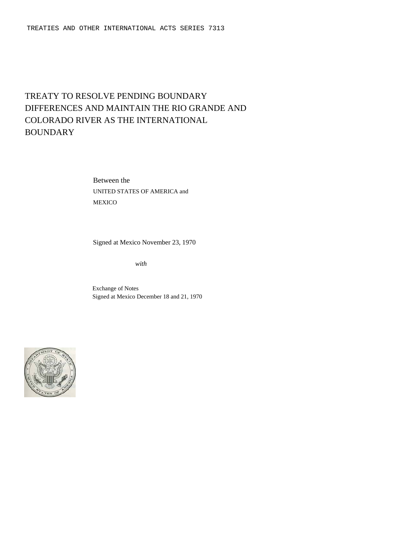# TREATY TO RESOLVE PENDING BOUNDARY DIFFERENCES AND MAINTAIN THE RIO GRANDE AND COLORADO RIVER AS THE INTERNATIONAL **BOUNDARY**

Between the UNITED STATES OF AMERICA and MEXICO

Signed at Mexico November 23, 1970

*with*

Exchange of Notes Signed at Mexico December 18 and 21, 1970

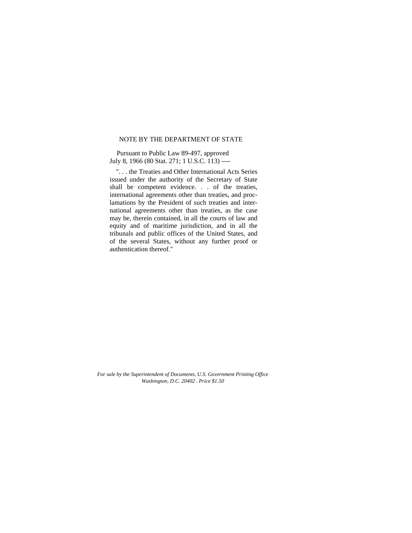## NOTE BY THE DEPARTMENT OF STATE

Pursuant to Public Law 89-497, approved July 8, 1966 (80 Stat. 271; 1 U.S.C. 113) ----

". . . the Treaties and Other International Acts Series issued under the authority of the Secretary of State shall be competent evidence. . . of the treaties, international agreements other than treaties, and proclamations by the President of such treaties and international agreements other than treaties, as the case may be, therein contained, in all the courts of law and equity and of maritime jurisdiction, and in all the tribunals and public offices of the United States, and of the several States, without any further proof or authentication thereof."

*For sale by the Superintendent of Documents, U.S. Government Printing Office Washington, D.C. 20402* . *Price \$1.50*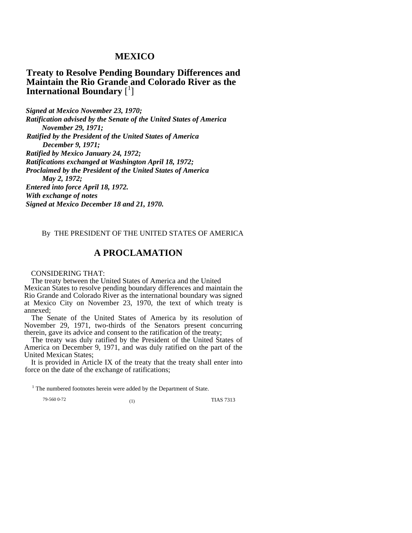# **MEXICO**

**Treaty to Resolve Pending Boundary Differences and Maintain the Rio Grande and Colorado River as the International Boundary** [ 1 ]

*Signed at Mexico November 23, 1970; Ratification advised by the Senate of the United States of America November 29, 1971; Ratified by the President of the United States of America December 9, 1971; Ratified by Mexico January 24, 1972; Ratifications exchanged at Washington April 18, 1972; Proclaimed by the President of the United States of America May 2, 1972; Entered into force April 18, 1972. With exchange of notes Signed at Mexico December 18 and 21, 1970.* 

## By THE PRESIDENT OF THE UNITED STATES OF AMERICA

# **A PROCLAMATION**

CONSIDERING THAT:

The treaty between the United States of America and the United Mexican States to resolve pending boundary differences and maintain the Rio Grande and Colorado River as the international boundary was signed at Mexico City on November 23, 1970, the text of which treaty is annexed;

The Senate of the United States of America by its resolution of November 29, 1971, two-thirds of the Senators present concurring therein, gave its advice and consent to the ratification of the treaty;

The treaty was duly ratified by the President of the United States of America on December 9, 1971, and was duly ratified on the part of the United Mexican States;

It is provided in Article IX of the treaty that the treaty shall enter into force on the date of the exchange of ratifications;

 $1$  The numbered footnotes herein were added by the Department of State.

79-560 0-72 (1) TIAS 7313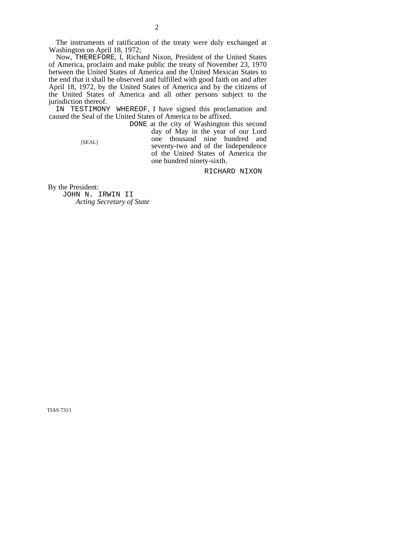The instruments of ratification of the treaty were duly exchanged at Washington on April 18, 1972;

Now, THEREFORE, I, Richard Nixon, President of the United States of America, proclaim and make public the treaty of November 23, 1970 between the United States of America and the United Mexican States to the end that it shall be observed and fulfilled with good faith on and after April 18, 1972, by the United States of America and by the citizens of the United States of America and all other persons subject to the jurisdiction thereof.

IN TESTIMONY WHEREOF, I have signed this proclamation and caused the Seal of the United States of America to be affixed.

DONE at the city of Washington this second day of May in the year of our Lord one thousand nine hundred and seventy-two and of the Independence of the United States of America the one hundred ninety-sixth.

RICHARD NIXON

By the President:

[SEAL]

JOHN N. IRWIN II  *Acting Secretary of State*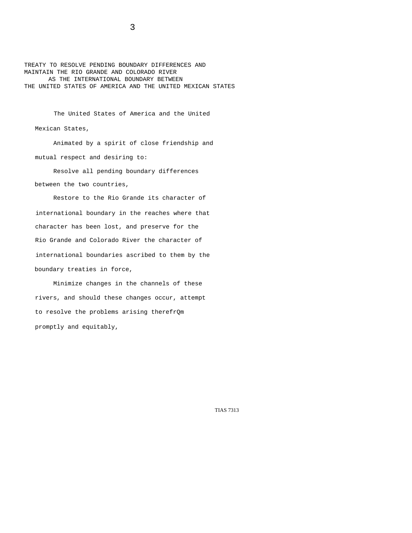TREATY TO RESOLVE PENDING BOUNDARY DIFFERENCES AND MAINTAIN THE RIO GRANDE AND COLORADO RIVER AS THE INTERNATIONAL BOUNDARY BETWEEN THE UNITED STATES OF AMERICA AND THE UNITED MEXICAN STATES

The United States of America and the United Mexican States,

Animated by a spirit of close friendship and mutual respect and desiring to:

Resolve all pending boundary differences between the two countries,

Restore to the Rio Grande its character of international boundary in the reaches where that character has been lost, and preserve for the Rio Grande and Colorado River the character of international boundaries ascribed to them by the boundary treaties in force,

Minimize changes in the channels of these rivers, and should these changes occur, attempt to resolve the problems arising therefrQm promptly and equitably,

TIAS 7313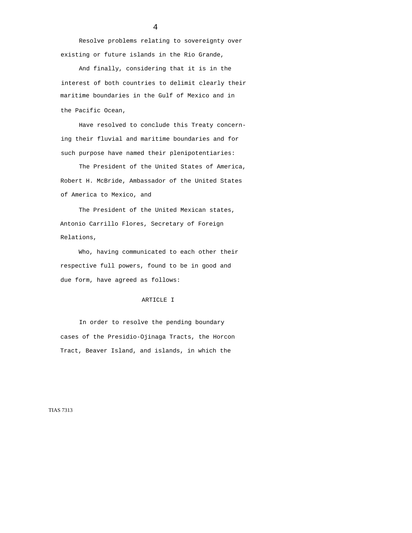Resolve problems relating to sovereignty over existing or future islands in the Rio Grande,

And finally, considering that it is in the interest of both countries to delimit clearly their maritime boundaries in the Gulf of Mexico and in the Pacific Ocean,

Have resolved to conclude this Treaty concerning their fluvial and maritime boundaries and for such purpose have named their plenipotentiaries:

The President of the United States of America, Robert H. McBride, Ambassador of the United States of America to Mexico, and

The President of the United Mexican states, Antonio Carrillo Flores, Secretary of Foreign Relations,

Who, having communicated to each other their respective full powers, found to be in good and due form, have agreed as follows:

#### ARTICLE I

In order to resolve the pending boundary cases of the Presidio-Ojinaga Tracts, the Horcon Tract, Beaver Island, and islands, in which the

TIAS 7313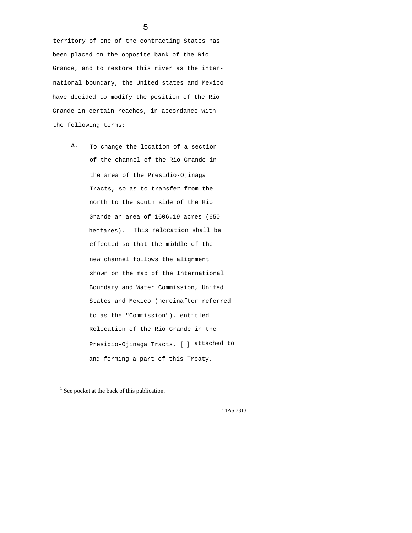territory of one of the contracting States has been placed on the opposite bank of the Rio Grande, and to restore this river as the international boundary, the United states and Mexico have decided to modify the position of the Rio Grande in certain reaches, in accordance with the following terms:

> **A.** To change the location of a section of the channel of the Rio Grande in the area of the Presidio-Ojinaga Tracts, so as to transfer from the north to the south side of the Rio Grande an area of 1606.19 acres (650 hectares). This relocation shall be effected so that the middle of the new channel follows the alignment shown on the map of the International Boundary and Water Commission, United States and Mexico (hereinafter referred to as the "Commission"), entitled Relocation of the Rio Grande in the Presidio-Ojinaga Tracts,  $[^1]$  attached to and forming a part of this Treaty.

<sup>1</sup> See pocket at the back of this publication.

TIAS 7313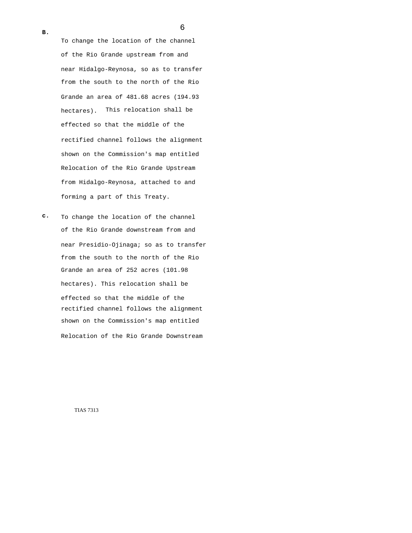**B.** 

To change the location of the channel of the Rio Grande upstream from and near Hidalgo-Reynosa, so as to transfer from the south to the north of the Rio Grande an area of 481.68 acres (194.93 hectares). This relocation shall be effected so that the middle of the rectified channel follows the alignment shown on the Commission's map entitled Relocation of the Rio Grande Upstream from Hidalgo-Reynosa, attached to and forming a part of this Treaty.

**c.** To change the location of the channel of the Rio Grande downstream from and near Presidio-Ojinaga; so as to transfer from the south to the north of the Rio Grande an area of 252 acres (101.98 hectares). This relocation shall be effected so that the middle of the rectified channel follows the alignment shown on the Commission's map entitled Relocation of the Rio Grande Downstream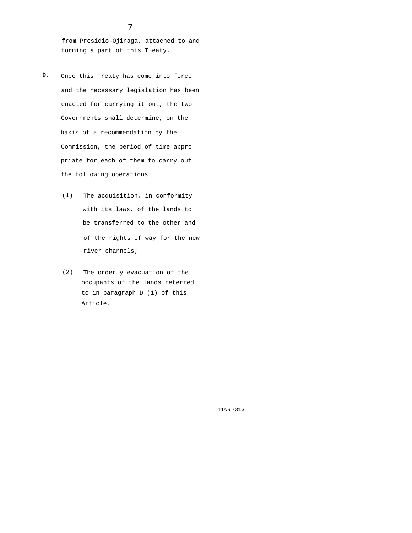from Presidio-Ojinaga, attached to and forming a part of this T~eaty.

- **D.** Once this Treaty has come into force and the necessary legislation has been enacted for carrying it out, the two Governments shall determine, on the basis of a recommendation by the Commission, the period of time appro priate for each of them to carry out the following operations:
	- (1) The acquisition, in conformity with its laws, of the lands to be transferred to the other and of the rights of way for the new river channels;
	- (2) The orderly evacuation of the occupants of the lands referred to in paragraph D (1) of this Article.

TIAS 7313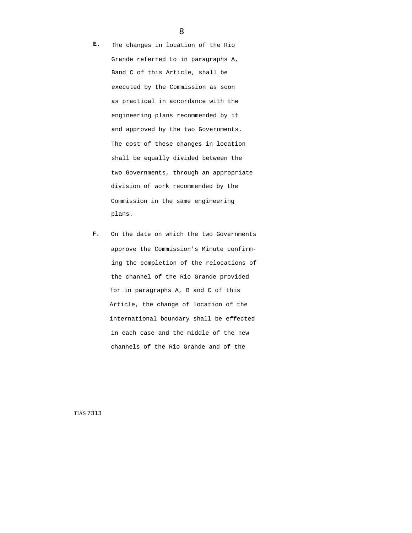**E.** The changes in location of the Rio Grande referred to in paragraphs A, Band C of this Article, shall be executed by the Commission as soon as practical in accordance with the engineering plans recommended by it and approved by the two Governments. The cost of these changes in location shall be equally divided between the two Governments, through an appropriate division of work recommended by the Commission in the same engineering plans.

**F.** On the date on which the two Governments approve the Commission's Minute confirming the completion of the relocations of the channel of the Rio Grande provided for in paragraphs A, B and C of this Article, the change of location of the international boundary shall be effected in each case and the middle of the new channels of the Rio Grande and of the

TIAS 7313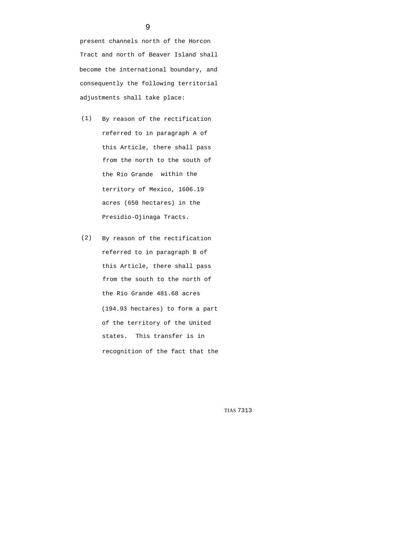present channels north of the Horcon Tract and north of Beaver Island shall become the international boundary, and consequently the following territorial adjustments shall take place:

- (1) By reason of the rectification referred to in paragraph A of this Article, there shall pass from the north to the south of the Rio Grande within the territory of Mexico, 1606.19 acres (650 hectares) in the Presidio-Ojinaga Tracts.
- (2) By reason of the rectification referred to in paragraph B of this Article, there shall pass from the south to the north of the Rio Grande 481.68 acres (194.93 hectares) to form a part of the territory of the United states. This transfer is in recognition of the fact that the

TIAS 7313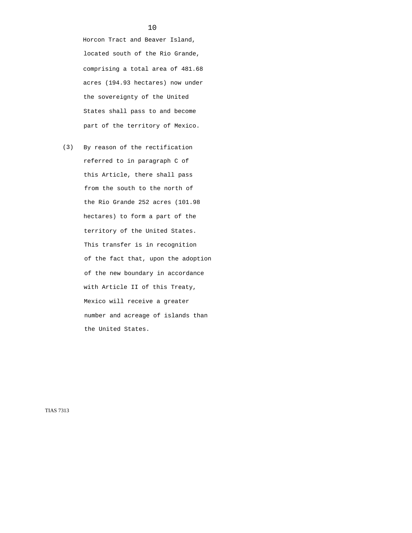Horcon Tract and Beaver Island, located south of the Rio Grande, comprising a total area of 481.68 acres (194.93 hectares) now under the sovereignty of the United States shall pass to and become part of the territory of Mexico.

(3) By reason of the rectification referred to in paragraph C of this Article, there shall pass from the south to the north of the Rio Grande 252 acres (101.98 hectares) to form a part of the territory of the United States. This transfer is in recognition of the fact that, upon the adoption of the new boundary in accordance with Article II of this Treaty, Mexico will receive a greater number and acreage of islands than the United States.

TIAS 7313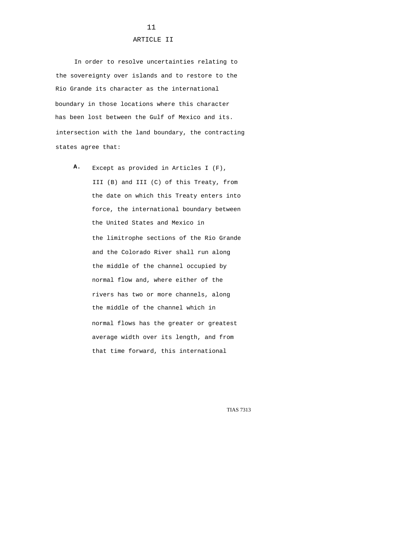## ARTICLE II

In order to resolve uncertainties relating to the sovereignty over islands and to restore to the Rio Grande its character as the international boundary in those locations where this character has been lost between the Gulf of Mexico and its. intersection with the land boundary, the contracting states agree that:

**A.** Except as provided in Articles I (F), III (B) and III (C) of this Treaty, from the date on which this Treaty enters into force, the international boundary between the United States and Mexico in the limitrophe sections of the Rio Grande and the Colorado River shall run along the middle of the channel occupied by normal flow and, where either of the rivers has two or more channels, along the middle of the channel which in normal flows has the greater or greatest average width over its length, and from that time forward, this international

TIAS 7313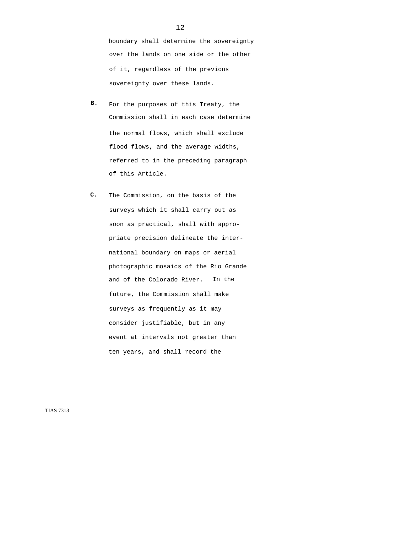boundary shall determine the sovereignty over the lands on one side or the other of it, regardless of the previous sovereignty over these lands.

- **B.** For the purposes of this Treaty, the Commission shall in each case determine the normal flows, which shall exclude flood flows, and the average widths, referred to in the preceding paragraph of this Article.
- **C.** The Commission, on the basis of the surveys which it shall carry out as soon as practical, shall with appropriate precision delineate the international boundary on maps or aerial photographic mosaics of the Rio Grande and of the Colorado River. In the future, the Commission shall make surveys as frequently as it may consider justifiable, but in any event at intervals not greater than ten years, and shall record the

TIAS 7313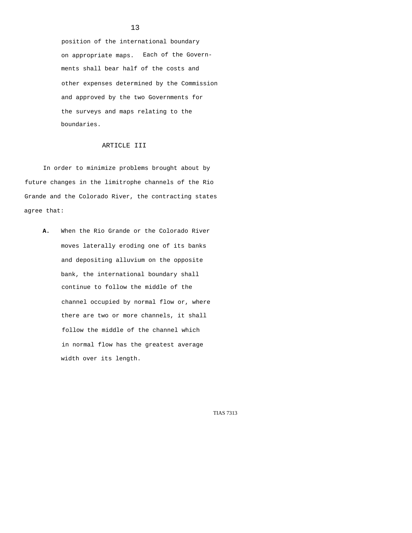position of the international boundary on appropriate maps. Each of the Governments shall bear half of the costs and other expenses determined by the Commission and approved by the two Governments for the surveys and maps relating to the boundaries.

## ARTICLE III

In order to minimize problems brought about by future changes in the limitrophe channels of the Rio Grande and the Colorado River, the contracting states agree that:

**A.** When the Rio Grande or the Colorado River moves laterally eroding one of its banks and depositing alluvium on the opposite bank, the international boundary shall continue to follow the middle of the channel occupied by normal flow or, where there are two or more channels, it shall follow the middle of the channel which in normal flow has the greatest average width over its length.

TIAS 7313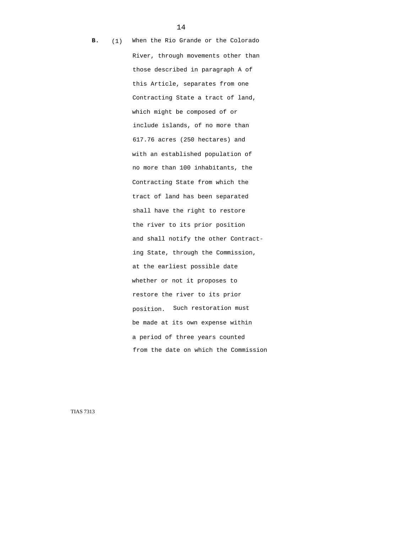**B.** (1) When the Rio Grande or the Colorado River, through movements other than those described in paragraph A of this Article, separates from one Contracting State a tract of land, which might be composed of or include islands, of no more than 617.76 acres (250 hectares) and with an established population of no more than 100 inhabitants, the Contracting State from which the tract of land has been separated shall have the right to restore the river to its prior position and shall notify the other Contracting State, through the Commission, at the earliest possible date whether or not it proposes to restore the river to its prior position. Such restoration must be made at its own expense within a period of three years counted from the date on which the Commission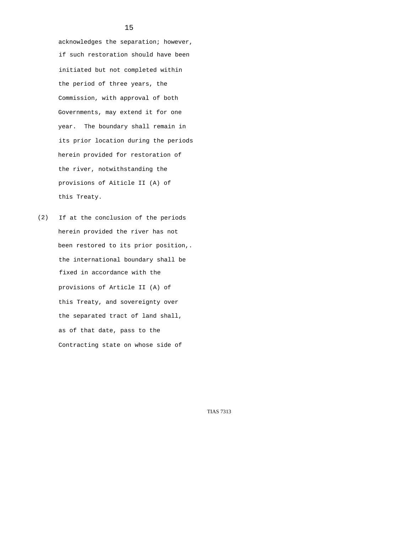acknowledges the separation; however, if such restoration should have been initiated but not completed within the period of three years, the Commission, with approval of both Governments, may extend it for one year. The boundary shall remain in its prior location during the periods herein provided for restoration of the river, notwithstanding the provisions of Aiticle II (A) of this Treaty.

(2) If at the conclusion of the periods herein provided the river has not been restored to its prior position,. the international boundary shall be fixed in accordance with the provisions of Article II (A) of this Treaty, and sovereignty over the separated tract of land shall, as of that date, pass to the Contracting state on whose side of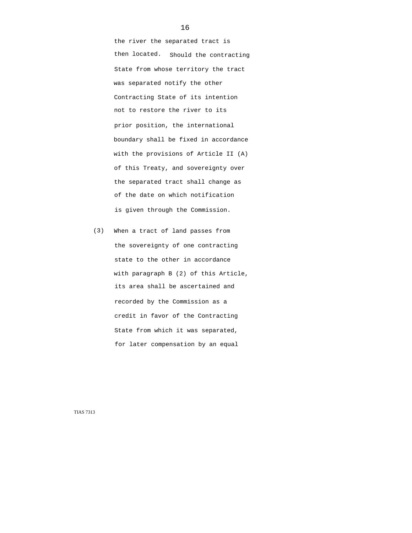the river the separated tract is then located. Should the contracting State from whose territory the tract was separated notify the other Contracting State of its intention not to restore the river to its prior position, the international boundary shall be fixed in accordance with the provisions of Article II (A) of this Treaty, and sovereignty over the separated tract shall change as of the date on which notification is given through the Commission.

(3) When a tract of land passes from the sovereignty of one contracting state to the other in accordance with paragraph B (2) of this Article, its area shall be ascertained and recorded by the Commission as a credit in favor of the Contracting State from which it was separated, for later compensation by an equal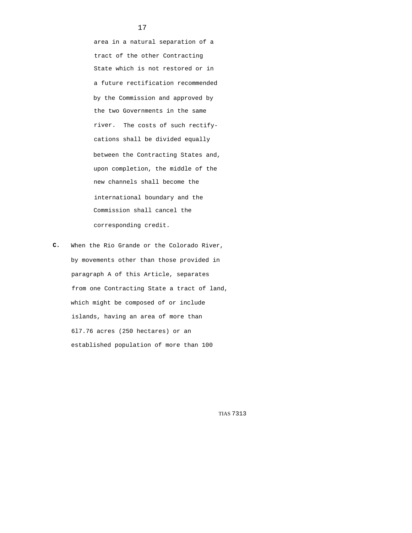area in a natural separation of a tract of the other Contracting State which is not restored or in a future rectification recommended by the Commission and approved by the two Governments in the same river. The costs of such rectifycations shall be divided equally between the Contracting States and, upon completion, the middle of the new channels shall become the international boundary and the Commission shall cancel the corresponding credit.

**C.** When the Rio Grande or the Colorado River, by movements other than those provided in paragraph A of this Article, separates from one Contracting State a tract of land, which might be composed of or include islands, having an area of more than 6l7.76 acres (250 hectares) or an established population of more than 100

TIAS 7313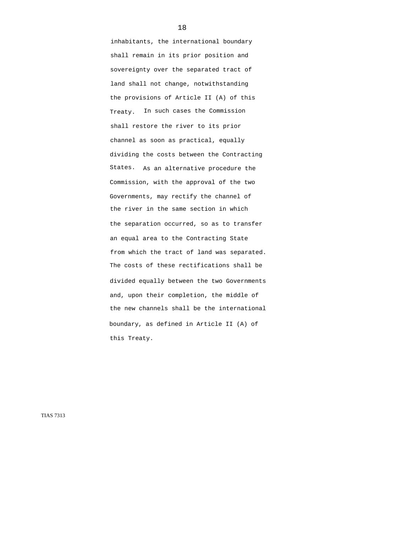inhabitants, the international boundary shall remain in its prior position and sovereignty over the separated tract of land shall not change, notwithstanding the provisions of Article II (A) of this Treaty. In such cases the Commission shall restore the river to its prior channel as soon as practical, equally dividing the costs between the Contracting States. As an alternative procedure the Commission, with the approval of the two Governments, may rectify the channel of the river in the same section in which the separation occurred, so as to transfer an equal area to the Contracting State from which the tract of land was separated. The costs of these rectifications shall be divided equally between the two Governments and, upon their completion, the middle of the new channels shall be the international boundary, as defined in Article II (A) of this Treaty.

TIAS 7313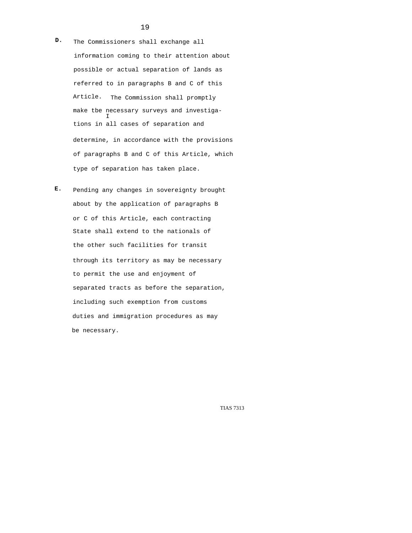- **D.** The Commissioners shall exchange all information coming to their attention about possible or actual separation of lands as referred to in paragraphs B and C of this Article. The Commission shall promptly make tbe necessary surveys and investiga- I tions in all cases of separation and determine, in accordance with the provisions of paragraphs B and C of this Article, which type of separation has taken place.
- **E.** Pending any changes in sovereignty brought about by the application of paragraphs B or C of this Article, each contracting State shall extend to the nationals of the other such facilities for transit through its territory as may be necessary to permit the use and enjoyment of separated tracts as before the separation, including such exemption from customs duties and immigration procedures as may be necessary.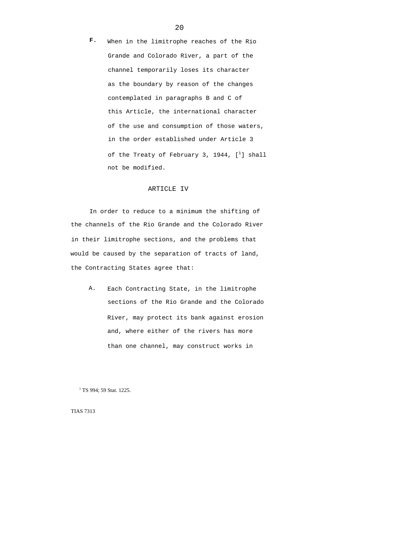**F.** When in the limitrophe reaches of the Rio Grande and Colorado River, a part of the channel temporarily loses its character as the boundary by reason of the changes contemplated in paragraphs B and C of this Article, the international character of the use and consumption of those waters, in the order established under Article 3 of the Treaty of February 3, 1944,  $[\;^1]$  shall not be modified.

## ARTICLE IV

In order to reduce to a minimum the shifting of the channels of the Rio Grande and the Colorado River in their limitrophe sections, and the problems that would be caused by the separation of tracts of land, the Contracting States agree that:

A. Each Contracting State, in the limitrophe sections of the Rio Grande and the Colorado River, may protect its bank against erosion and, where either of the rivers has more than one channel, may construct works in

<sup>1</sup> TS 994; 59 Stat. 1225.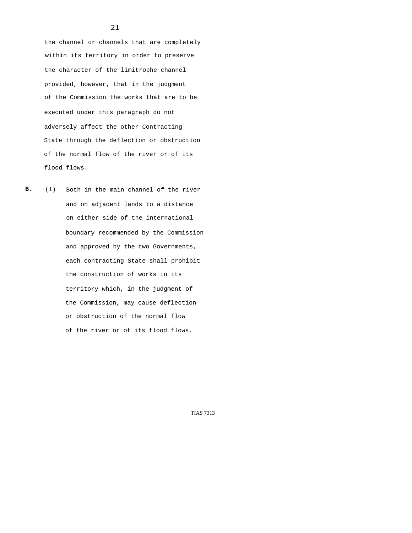the channel or channels that are completely within its territory in order to preserve the character of the limitrophe channel provided, however, that in the judgment of the Commission the works that are to be executed under this paragraph do not adversely affect the other Contracting State through the deflection or obstruction of the normal flow of the river or of its flood flows.

**B.** (1) Both in the main channel of the river and on adjacent lands to a distance on either side of the international boundary recommended by the Commission and approved by the two Governments, each contracting State shall prohibit the construction of works in its territory which, in the judgment of the Commission, may cause deflection or obstruction of the normal flow of the river or of its flood flows.

TIAS 7313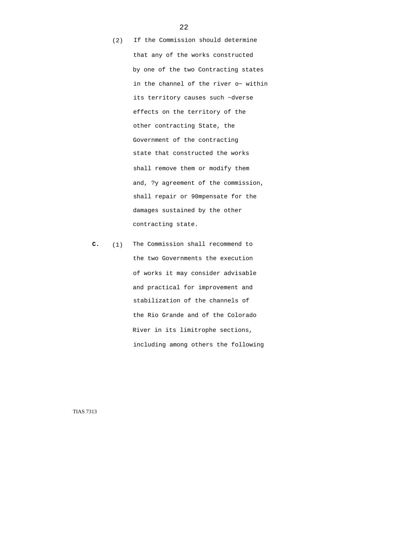- (2) If the Commission should determine that any of the works constructed by one of the two Contracting states in the channel of the river o~ within its territory causes such ~dverse effects on the territory of the other contracting State, the Government of the contracting state that constructed the works shall remove them or modify them and, ?y agreement of the commission, shall repair or 90mpensate for the damages sustained by the other contracting state.
- **C.** (1) The Commission shall recommend to the two Governments the execution of works it may consider advisable and practical for improvement and stabilization of the channels of the Rio Grande and of the Colorado River in its limitrophe sections, including among others the following

TIAS 7313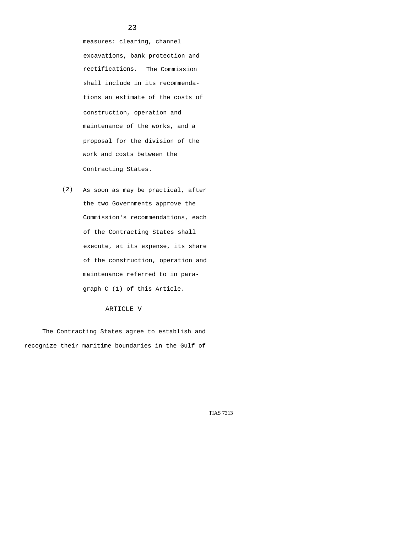measures: clearing, channel excavations, bank protection and rectifications. The Commission shall include in its recommendations an estimate of the costs of construction, operation and maintenance of the works, and a proposal for the division of the work and costs between the Contracting States.

(2) As soon as may be practical, after the two Governments approve the Commission's recommendations, each of the Contracting States shall execute, at its expense, its share of the construction, operation and maintenance referred to in paragraph C (1) of this Article.

#### ARTICLE V

The Contracting States agree to establish and recognize their maritime boundaries in the Gulf of

TIAS 7313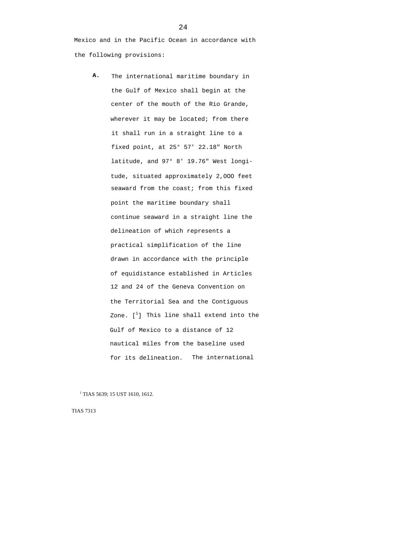Mexico and in the Pacific Ocean in accordance with the following provisions:

**A.** The international maritime boundary in the Gulf of Mexico shall begin at the center of the mouth of the Rio Grande, wherever it may be located; from there it shall run in a straight line to a fixed point, at 25° 57' 22.18" North latitude, and 97° 8' 19.76" West longitude, situated approximately 2,OOO feet seaward from the coast; from this fixed point the maritime boundary shall continue seaward in a straight line the delineation of which represents a practical simplification of the line drawn in accordance with the principle of equidistance established in Articles 12 and 24 of the Geneva Convention on the Territorial Sea and the Contiguous Zone.  $[\begin{smallmatrix} 1 \end{smallmatrix}]$  This line shall extend into the Gulf of Mexico to a distance of 12 nautical miles from the baseline used for its delineation. The international

<sup>1</sup> TIAS 5639; 15 UST 1610, 1612.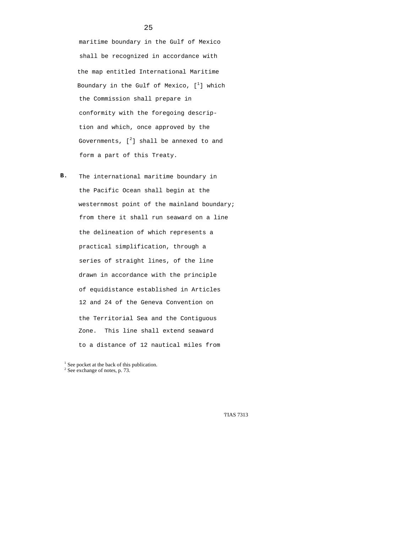maritime boundary in the Gulf of Mexico shall be recognized in accordance with the map entitled International Maritime Boundary in the Gulf of Mexico,  $[\;^1]$  which the Commission shall prepare in conformity with the foregoing description and which, once approved by the Governments,  $[^2]$  shall be annexed to and form a part of this Treaty.

**B.** The international maritime boundary in the Pacific Ocean shall begin at the westernmost point of the mainland boundary; from there it shall run seaward on a line the delineation of which represents a practical simplification, through a series of straight lines, of the line drawn in accordance with the principle of equidistance established in Articles 12 and 24 of the Geneva Convention on the Territorial Sea and the Contiguous Zone. This line shall extend seaward to a distance of 12 nautical miles from

'l'IAS 7313

<sup>&</sup>lt;sup>1</sup> See pocket at the back of this publication.<br> $2\frac{2}{3}$  See exchange of potes n  $73$ 

 $2$  See exchange of notes, p. 73.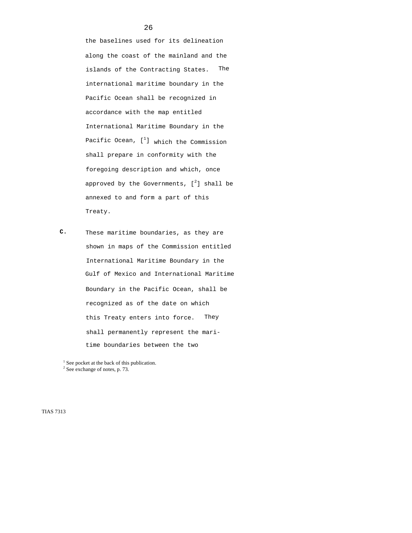the baselines used for its delineation along the coast of the mainland and the islands of the Contracting States. The international maritime boundary in the Pacific Ocean shall be recognized in accordance with the map entitled International Maritime Boundary in the Pacific Ocean, [<sup>1</sup>] which the Commission shall prepare in conformity with the foregoing description and which, once approved by the Governments,  $[^2]$  shall be annexed to and form a part of this Treaty.

**C.** These maritime boundaries, as they are shown in maps of the Commission entitled International Maritime Boundary in the Gulf of Mexico and International Maritime Boundary in the Pacific Ocean, shall be recognized as of the date on which this Treaty enters into force. They shall permanently represent the maritime boundaries between the two

<sup>1</sup> See pocket at the back of this publication.<br> $2\frac{2}{3}$  See exchange of notes n  $73$ 

 $2$  See exchange of notes, p. 73.

TIAS 7313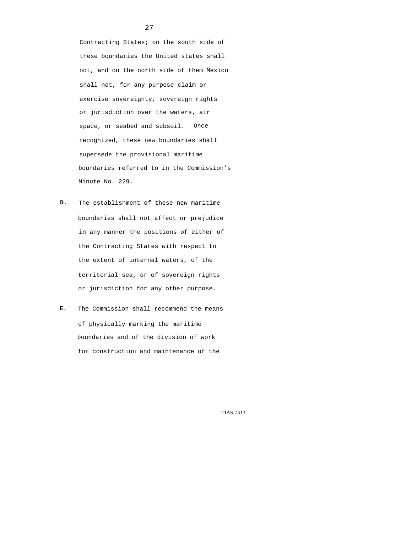Contracting States; on the south side of these boundaries the United states shall not, and on the north side of them Mexico shall not, for any purpose claim or exercise sovereignty, sovereign rights or jurisdiction over the waters, air space, or seabed and subsoil. Once recognized, these new boundaries shall supersede the provisional maritime boundaries referred to in the Commission's Minute No. 229.

- **D.** The establishment of these new maritime boundaries shall not affect or prejudice in any manner the positions of either of the Contracting States with respect to the extent of internal waters, of the territorial sea, or of sovereign rights or jurisdiction for any other purpose.
- **E.** The Commission shall recommend the means of physically marking the maritime boundaries and of the division of work for construction and maintenance of the

TIAS 7313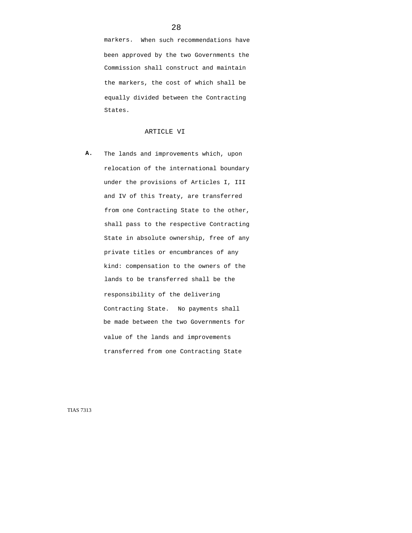markers. When such recommendations have been approved by the two Governments the Commission shall construct and maintain the markers, the cost of which shall be equally divided between the Contracting States.

#### ARTICLE VI

**A.** The lands and improvements which, upon relocation of the international boundary under the provisions of Articles I, III and IV of this Treaty, are transferred from one Contracting State to the other, shall pass to the respective Contracting State in absolute ownership, free of any private titles or encumbrances of any kind: compensation to the owners of the lands to be transferred shall be the responsibility of the delivering Contracting State. No payments shall be made between the two Governments for value of the lands and improvements transferred from one Contracting State

TIAS 7313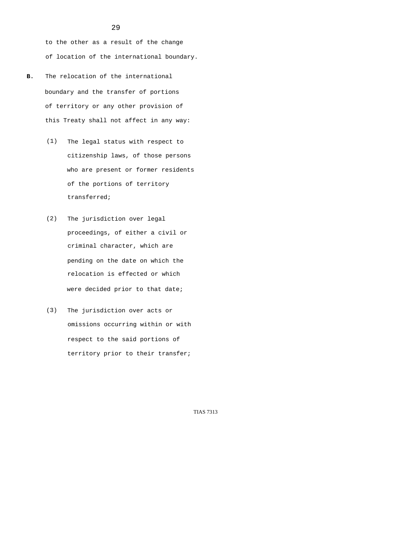to the other as a result of the change of location of the international boundary.

- **B.** The relocation of the international boundary and the transfer of portions of territory or any other provision of this Treaty shall not affect in any way:
	- (1) The legal status with respect to citizenship laws, of those persons who are present or former residents of the portions of territory transferred;
	- (2) The jurisdiction over legal proceedings, of either a civil or criminal character, which are pending on the date on which the relocation is effected or which were decided prior to that date;
	- (3) The jurisdiction over acts or omissions occurring within or with respect to the said portions of territory prior to their transfer;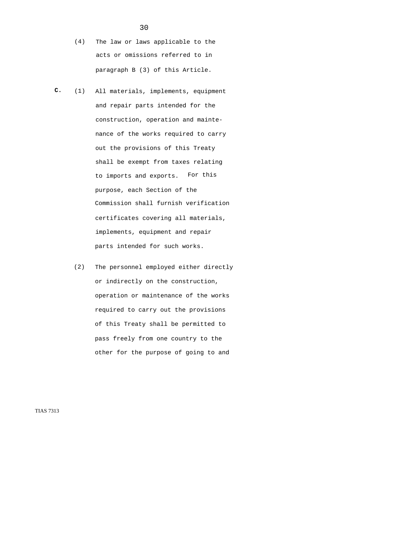- (4) The law or laws applicable to the acts or omissions referred to in paragraph B (3) of this Article.
- **C.** (1) All materials, implements, equipment and repair parts intended for the construction, operation and maintenance of the works required to carry out the provisions of this Treaty shall be exempt from taxes relating to imports and exports. For this purpose, each Section of the Commission shall furnish verification certificates covering all materials, implements, equipment and repair parts intended for such works.
	- (2) The personnel employed either directly or indirectly on the construction, operation or maintenance of the works required to carry out the provisions of this Treaty shall be permitted to pass freely from one country to the other for the purpose of going to and

TIAS 7313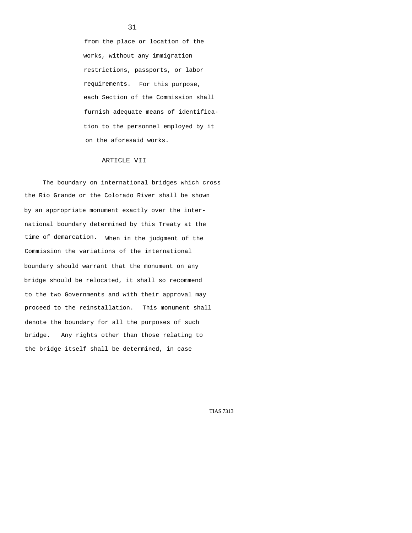from the place or location of the works, without any immigration restrictions, passports, or labor requirements. For this purpose, each Section of the Commission shall furnish adequate means of identification to the personnel employed by it on the aforesaid works.

## ARTICLE VII

The boundary on international bridges which cross the Rio Grande or the Colorado River shall be shown by an appropriate monument exactly over the international boundary determined by this Treaty at the time of demarcation. When in the judgment of the Commission the variations of the international boundary should warrant that the monument on any bridge should be relocated, it shall so recommend to the two Governments and with their approval may proceed to the reinstallation. This monument shall denote the boundary for all the purposes of such bridge. Any rights other than those relating to the bridge itself shall be determined, in case

TIAS 7313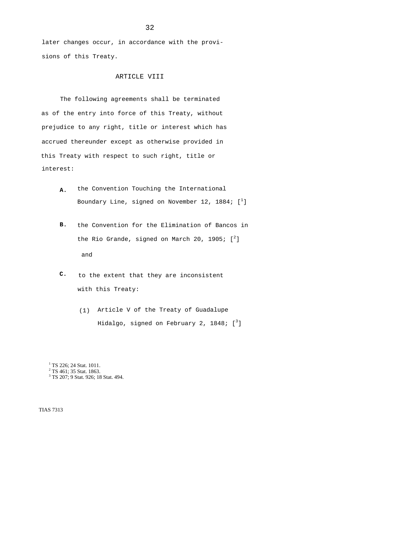later changes occur, in accordance with the provisions of this Treaty.

## ARTICLE VIII

The following agreements shall be terminated as of the entry into force of this Treaty, without prejudice to any right, title or interest which has accrued thereunder except as otherwise provided in this Treaty with respect to such right, title or interest:

- the Convention Touching the International Boundary Line, signed on November 12, 1884;  $\left[\begin{smallmatrix} 1 & 0 & 0 \ 1 & 0 & 0 \ 0 & 0 & 0 & 0 \end{smallmatrix}\right]$ **A.**
- **B.** the Convention for the Elimination of Bancos in the Rio Grande, signed on March 20, 1905;  $[^2]$ and
- **C.** to the extent that they are inconsistent with this Treaty:
	- Article V of the Treaty of Guadalupe (1) Hidalgo, signed on February 2, 1848;  $\lbrack \; \rbrack^3 \rbrack$

<sup>1</sup> TS 226; 24 Stat. 1011.

<sup>2</sup> TS 461; 35 Stat. 1863.<br><sup>3</sup> TS 207: 0 Stat. 026: 18

<sup>3</sup> TS 207; 9 Stat. 926; 18 Stat. 494.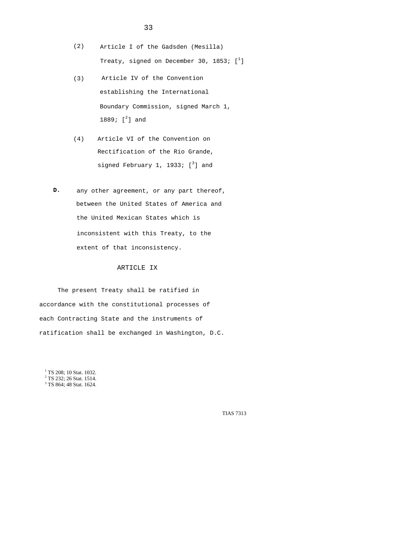- (2) Article I of the Gadsden (Mesilla) Treaty, signed on December 30, 1853;  $[\;^1]$
- (3) Article IV of the Convention establishing the International Boundary Commission, signed March 1, 1889;  $[^2]$  and
- (4) Article VI of the Convention on Rectification of the Rio Grande, signed February 1, 1933;  $[^3]$  and
- **D.** any other agreement, or any part thereof, between the United States of America and the United Mexican States which is inconsistent with this Treaty, to the extent of that inconsistency.

## ARTICLE IX

The present Treaty shall be ratified in accordance with the constitutional processes of each Contracting State and the instruments of ratification shall be exchanged in Washington, D.C.

<sup>1</sup> TS 208; 10 Stat. 1032.<br><sup>2</sup> TS 232: 26 Stat. 1514  $2$  TS 232; 26 Stat. 1514. <sup>3</sup> TS 864; 48 Stat. 1624.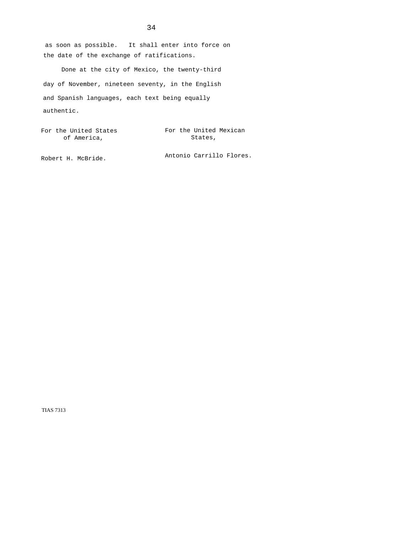as soon as possible. It shall enter into force on the date of the exchange of ratifications.

Done at the city of Mexico, the twenty-third day of November, nineteen seventy, in the English and Spanish languages, each text being equally authentic.

For the United States The United Mexican States, of America,

Antonio Carrillo Flores. Robert H. McBride.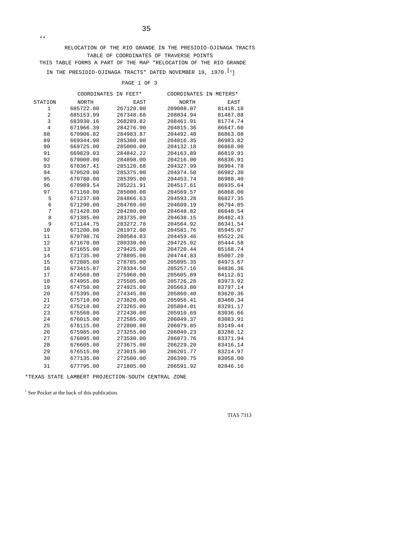RELOCATION OF THE RIO GRANDE IN THE PRESIDIO-OJINAGA TRACTS TABLE OF COORDINATES OF TRAVERSE POINTS THIS TABLE FORMS A PART OF THE MAP "RELOCATION OF THE RIO GRANDE IN THE PRESIDIO-OJINAGA TRACTS" DATED NOVEMBER 19, 1970.  $^{\left[1\right]}$ 

## PAGE 1 OF 3

|                | COORDINATES IN FEET* |           | COORDINATES | IN METERS* |
|----------------|----------------------|-----------|-------------|------------|
| STATION        | NORTH                | EAST      | NORTH       | EAST       |
| 1              | 685722.00            | 267120.00 | 209008.07   | 81418.18   |
| $\overline{2}$ | 685153.99            | 267348.68 | 208834.94   | 81487.88   |
| 3              | 683930.16            | 268289.82 | 208461.91   | 81774.74   |
| $\,4$          | 671966.39            | 284276.90 | 204815.36   | 86647.60   |
| 88             | 670906.82            | 284983.87 | 204492.40   | 86863.08   |
| 89             | 669344.98            | 285380.00 | 204016.35   | 86983.82   |
| 90             | 669725.00            | 285000.00 | 204132.18   | 86868.00   |
| 91             | 669829.03            | 284842.22 | 204163.89   | 86819.91   |
| 92             | 670000.00            | 284898.00 | 204216.00   | 86836.91   |
| 93             | 670367.41            | 285120.68 | 204327.99   | 86904.78   |
| 94             | 670520.00            | 285375.00 | 204374.50   | 86982.30   |
| 95             | 670780.00            | 285395.00 | 204453.74   | 86988.40   |
| 96             | 670989.54            | 285221.91 | 204517.61   | 86935.64   |
| 97             | 671160.00            | 285000.00 | 204569.57   | 86868.00   |
| 5              | 671237.80            | 284866.63 | 204593.28   | 86827.35   |
| $\epsilon$     | 671290.00            | 284760.00 | 204609.19   | 86794.85   |
| 7              | 671420.00            | 284280.00 | 204648.82   | 86648.54   |
| 8              | 671385.00            | 283735.00 | 204638.15   | 86482.43   |
| 9              | 671144.75            | 283272.78 | 204564.92   | 86341.54   |
| 10             | 671200.00            | 281972.00 | 204581.76   | 85945.07   |
| 11             | 670798.76            | 280584.83 | 204459.46   | 85522.26   |
| 12             | 671670.00            | 280330.00 | 204725.02   | 85444.58   |
| 13             | 671655.00            | 279425.00 | 204720.44   | 85168.74   |
| 14             | 671735.00            | 278895.00 | 204744.83   | 85007.20   |
| 15             | 672885.00            | 278785.00 | 205095.35   | 84973.67   |
| 16             | 673415.87            | 278334.50 | 205257.16   | 84836.36   |
| 17             | 674560.00            | 275960.00 | 205605.89   | 84112.61   |
| 18             | 674955.00            | 275505.00 | 205726.28   | 83973.92   |
| 19             | 674750.00            | 274925.00 | 205663.80   | 83797.14   |
| 20             | 675395.00            | 274345.00 | 205860.40   | 83620.36   |
| 21             | 675710.00            | 273820.00 | 205956.41   | 83460.34   |
| 22             | 675210.00            | 273265.00 | 205804.01   | 83291.17   |
| 23             | 675560.00            | 272430.00 | 205910.69   | 83036.66   |
| 24             | 676015.00            | 272585.00 | 206049.37   | 83083.91   |
| 25             | 676115.00            | 272800.00 | 206079.85   | 83149.44   |
| 26             | 675985.00            | 273255.00 | 206040.23   | 83288.12   |
| 27             | 676095.00            | 273530.00 | 206073.76   | 83371.94   |
| 28             | 676605.00            | 273675.00 | 206229.20   | 83416.14   |
| 29             | 676515.00            | 273015.00 | 206201.77   | 83214.97   |
| 30             | 677135.00            | 272500.00 | 206390.75   | 83058.00   |
| 31             | 677795.00            | 271805.00 | 206591.92   | 82846.16   |

\*TEXAS STATE LAMBERT PROJECTION-SOUTH CENTRAL ZONE

<sup>1</sup> See Pocket at the back of this publication.

\*\*

TIAS 7313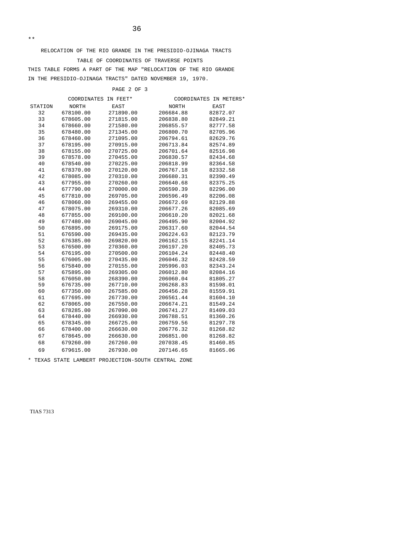RELOCATION OF THE RIO GRANDE IN THE PRESIDIO-OJINAGA TRACTS TABLE OF COORDINATES OF TRAVERSE POINTS THIS TABLE FORMS A PART OF THE MAP "RELOCATION OF THE RIO GRANDE IN THE PRESIDIO-OJINAGA TRACTS" DATED NOVEMBER 19, 1970.

## PAGE 2 OF 3

|         | COORDINATES IN FEET* |           |           | COORDINATES IN METERS* |
|---------|----------------------|-----------|-----------|------------------------|
| STATION | NORTH                | EAST      | NORTH     | EAST                   |
| 32      | 678100.00            | 271890.00 | 206684.88 | 82872.07               |
| 33      | 678605.00            | 271815.00 | 206838.80 | 82849.21               |
| 34      | 678660.00            | 271580.00 | 206855.57 | 82777.58               |
| 35      | 678480.00            | 271345.00 | 206800.70 | 82705.96               |
| 36      | 678460.00            | 271095.00 | 206794.61 | 82629.76               |
| 37      | 678195.00            | 270915.00 | 206713.84 | 82574.89               |
| 38      | 678155.00            | 270725.00 | 206701.64 | 82516.98               |
| 39      | 678578.00            | 270455.00 | 206830.57 | 82434.68               |
| 40      | 678540.00            | 270225.00 | 206818.99 | 82364.58               |
| 41      | 678370.00            | 270120.00 | 206767.18 | 82332.58               |
| 42      | 678085.00            | 270310.00 | 206680.31 | 82390.49               |
| 43      | 677955.00            | 270260.00 | 206640.68 | 82375.25               |
| 44      | 677790.00            | 270000.00 | 206590.39 | 82296.00               |
| 45      | 677810.00            | 269705.00 | 206596.49 | 82206.08               |
| 46      | 678060.00            | 269455.00 | 206672.69 | 82129.88               |
| 47      | 678075.00            | 269310.00 | 206677.26 | 82085.69               |
| 48      | 677855.00            | 269100.00 | 206610.20 | 82021.68               |
| 49      | 677480.00            | 269045.00 | 206495.90 | 82004.92               |
| 50      | 676895.00            | 269175.00 | 206317.60 | 82044.54               |
| 51      | 676590.00            | 269435.00 | 206224.63 | 82123.79               |
| 52      | 676385.00            | 269820.00 | 206162.15 | 82241.14               |
| 53      | 676500.00            | 270360.00 | 206197.20 | 82405.73               |
| 54      | 676195.00            | 270500.00 | 206104.24 | 82448.40               |
| 55      | 676005.00            | 270435.00 | 206046.32 | 82428.59               |
| 56      | 675840.00            | 270155.00 | 205996.03 | 82343.24               |
| 57      | 675895.00            | 269305.00 | 206012.80 | 82084.16               |
| 58      | 676050.00            | 268390.00 | 206060.04 | 81805.27               |
| 59      | 676735.00            | 267710.00 | 206268.83 | 81598.01               |
| 60      | 677350.00            | 267585.00 | 206456.28 | 81559.91               |
| 61      | 677695.00            | 267730.00 | 206561.44 | 81604.10               |
| 62      | 678065.00            | 267550.00 | 206674.21 | 81549.24               |
| 63      | 678285.00            | 267090.00 | 206741.27 | 81409.03               |
| 64      | 678440.00            | 266930.00 | 206788.51 | 81360.26               |
| 65      | 678345.00            | 266725.00 | 206759.56 | 81297.78               |
| 66      | 678400.00            | 266630.00 | 206776.32 | 81268.82               |
| 67      | 678645.00            | 266630.00 | 206851.00 | 81268.82               |
| 68      | 679260.00            | 267260.00 | 207038.45 | 81460.85               |
| 69      | 679615.00            | 267930.00 | 207146.65 | 81665.06               |
|         |                      |           |           |                        |

\* TEXAS STATE LAMBERT PROJECTION-SOUTH CENTRAL ZONE

TIAS 7313

\*\*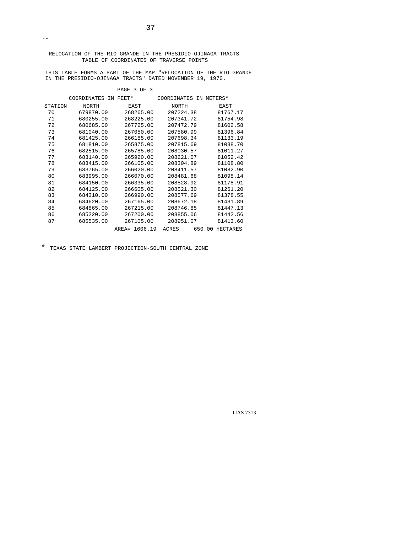THIS TABLE FORMS A PART OF THE MAP "RELOCATION OF THE RIO GRANDE IN THE PRESIDIO-OJINAGA TRACTS" DATED NOVEMBER 19, 1970.

#### PAGE 3 OF 3

|         | COORDINATES IN FEET* |               | COORDINATES IN METERS* |                 |
|---------|----------------------|---------------|------------------------|-----------------|
| STATION | NORTH                | EAST          | NORTH                  | EAST            |
| 70      | 679870.00            | 268265.00     | 207224.38              | 81767.17        |
| 71      | 680255.00            | 268225.00     | 207341.72              | 81754.98        |
| 72      | 680685.00            | 267725.00     | 207472.79              | 81602.58        |
| 73      | 681040.00            | 267050.00     | 207580.99              | 81396.84        |
| 74      | 681425.00            | 266185.00     | 207698.34              | 81133.19        |
| 75      | 681810.00            | 265875.00     | 207815.69              | 81038.70        |
| 76      | 682515.00            | 265785.00     | 208030.57              | 81011.27        |
| 77      | 683140.00            | 265920.00     | 208221.07              | 81052.42        |
| 78      | 683415.00            | 266105.00     | 208304.89              | 81108.80        |
| 79      | 683765.00            | 266020.00     | 208411.57              | 81082.90        |
| 80      | 683995.00            | 266070.00     | 208481.68              | 81098.14        |
| 81      | 684150.00            | 266335.00     | 208528.92              | 81178.91        |
| 82      | 684125.00            | 266605.00     | 208521.30              | 81261.20        |
| 83      | 684310.00            | 266990.00     | 208577.69              | 81378.55        |
| 84      | 684620.00            | 267165.00     | 208672.18              | 81431.89        |
| 85      | 684865.00            | 267215.00     | 208746.85              | 81447.13        |
| 86      | 685220.00            | 267200.00     | 208855.06              | 81442.56        |
| 87      | 685535.00            | 267105.00     | 208951.07              | 81413.60        |
|         |                      | AREA= 1606.19 | ACRES                  | 650.00 HECTARES |

\* TEXAS STATE LAMBERT PROJECTION-SOUTH CENTRAL ZONE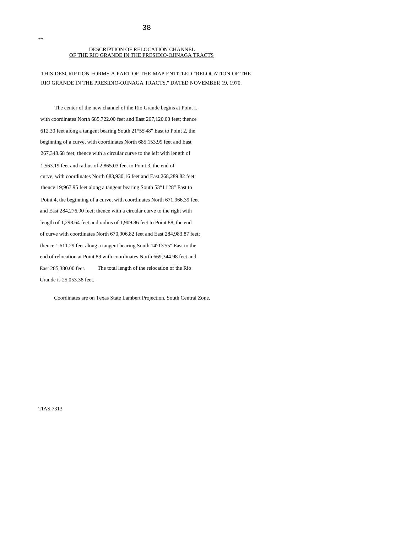#### DESCRIPTION OF RELOCATION CHANNEL OF THE RIO GRANDE IN THE PRESIDIO-OJINAGA TRACTS

38

THIS DESCRIPTION FORMS A PART OF THE MAP ENTITLED "RELOCATION OF THE RIO GRANDE IN THE PRESIDIO-OJINAGA TRACTS," DATED NOVEMBER 19, 1970.

The center of the new channel of the Rio Grande begins at Point I, with coordinates North 685,722.00 feet and East 267,120.00 feet; thence 612.30 feet along a tangent bearing South 21°55'48" East to Point 2, the beginning of a curve, with coordinates North 685,153.99 feet and East 267,348.68 feet; thence with a circular curve to the left with length of 1,563.19 feet and radius of 2,865.03 feet to Point 3, the end of curve, with coordinates North 683,930.16 feet and East 268,289.82 feet; thence 19;967.95 feet along a tangent bearing South 53°11'28" East to Point 4, the beginning of a curve, with coordinates North 671,966.39 feet and East 284,276.90 feet; thence with a circular curve to the right with length of 1,298.64 feet and radius of 1,909.86 feet to Point 88, the end of curve with coordinates North 670,906.82 feet and East 284,983.87 feet; thence 1,611.29 feet along a tangent bearing South 14°13'55" East to the end of relocation at Point 89 with coordinates North 669,344.98 feet and East 285,380.00 feet. The total length of the relocation of the Rio Grande is 25,053.38 feet.

Coordinates are on Texas State Lambert Projection, South Central Zone.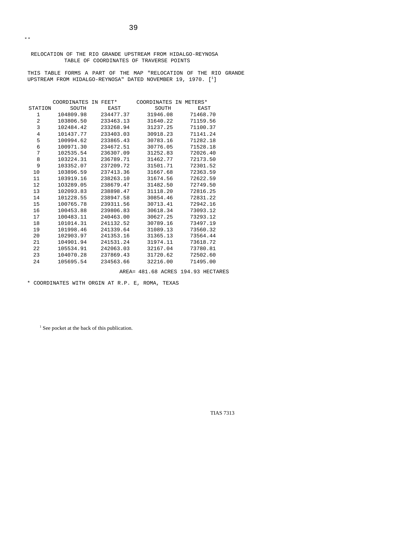RELOCATION OF THE RIO GRANDE UPSTREAM FROM HIDALGO-REYNOSA TABLE OF COORDINATES OF TRAVERSE POINTS

THIS TABLE FORMS A PART OF THE MAP "RELOCATION OF THE RIO GRANDE UPSTREAM FROM HIDALGO-REYNOSA" DATED NOVEMBER 19, 1970.  $[^1]$ 

|                | COORDINATES IN FEET* |           | COORDINATES IN METERS* |          |
|----------------|----------------------|-----------|------------------------|----------|
| STATION        | SOUTH                | EAST      | SOUTH                  | EAST     |
| 1              | 104809.98            | 234477.37 | 31946.08               | 71468.70 |
| 2              | 103806.50            | 233463.13 | 31640.22               | 71159.56 |
| 3              | 102484.42            | 233268.94 | 31237.25               | 71100.37 |
| $\overline{4}$ | 101437.77            | 233403.03 | 30918.23               | 71141.24 |
| 5              | 100994.62            | 233865.43 | 30783.16               | 71282.18 |
| 6              | 100971.30            | 234672.51 | 30776.05               | 71528.18 |
| 7              | 102535.54            | 236307.09 | 31252.83               | 72026.40 |
| 8              | 103224.31            | 236789.71 | 31462.77               | 72173.50 |
| 9              | 103352.07            | 237209.72 | 31501.71               | 72301.52 |
| 10             | 103896.59            | 237413.36 | 31667.68               | 72363.59 |
| 11             | 103919.16            | 238263.10 | 31674.56               | 72622.59 |
| 12             | 103289.05            | 238679.47 | 31482.50               | 72749.50 |
| 13             | 102093.83            | 238898.47 | 31118.20               | 72816.25 |
| 14             | 101228.55            | 238947.58 | 30854.46               | 72831.22 |
| 15             | 100765.78            | 239311.56 | 30713.41               | 72942.16 |
| 16             | 100453.88            | 239806.83 | 30618.34               | 73093.12 |
| 17             | 100483.11            | 240463.00 | 30627.25               | 73293.12 |
| 18             | 101014.31            | 241132.52 | 30789.16               | 73497.19 |
| 19             | 101998.46            | 241339.64 | 31089.13               | 73560.32 |
| 20             | 102903.97            | 241353.16 | 31365.13               | 73564.44 |
| 21             | 104901.94            | 241531.24 | 31974.11               | 73618.72 |
| 22             | 105534.91            | 242063.03 | 32167.04               | 73780.81 |
| 23             | 104070.28            | 237869.43 | 31720.62               | 72502.60 |
| 24             | 105695.54            | 234563.66 | 32216.00               | 71495.00 |
|                |                      |           |                        |          |

AREA= 481.68 ACRES 194.93 HECTARES

\* COORDINATES WITH ORGIN AT R.P. E, ROMA, TEXAS

 $<sup>1</sup>$  See pocket at the back of this publication.</sup>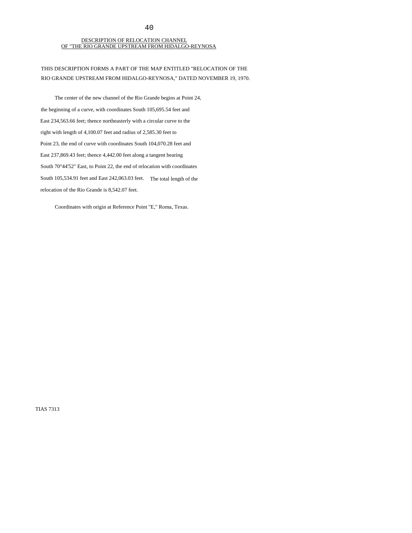#### DESCRIPTION OF RELOCATION CHANNEL OF "THE RIO GRANDE UPSTREAM FROM HIDALGO-REYNOSA

THIS DESCRIPTION FORMS A PART OF THE MAP ENTITLED "RELOCATION OF THE RIO GRANDE UPSTREAM FROM HIDALGO-REYNOSA," DATED NOVEMBER 19, 1970.

The center of the new channel of the Rio Grande begins at Point 24, the beginning of a curve, with coordinates South 105,695.54 feet and East 234,563.66 feet; thence northeasterly with a circular curve to the right with length of 4,100.07 feet and radius of 2,585.30 feet to Point 23, the end of curve with coordinates South 104,070.28 feet and East 237,869.43 feet; thence 4,442.00 feet along a tangent bearing South 70°44'52" East, to Point 22, the end of relocation with coordinates South 105,534.91 feet and East 242,063.03 feet. The total length of the relocation of the Rio Grande is 8,542.07 feet.

Coordinates with origin at Reference Point "E," Roma, Texas.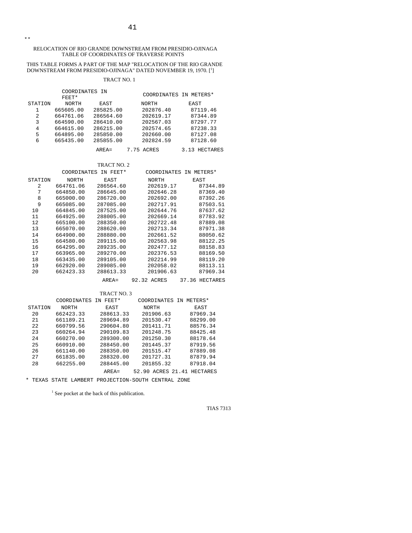#### RELOCATION OF RIO GRANDE DOWNSTREAM FROM PRESIDIO-OJINAGA TABLE OF COORDINATES OF TRAVERSE POINTS

# THIS TABLE FORMS A PART OF THE MAP "RELOCATION OF THE RIO GRANDE<br>DOWNSTREAM FROM PRESIDIO-OJINAGA" DATED NOVEMBER 19, 1970. [<sup>1</sup>]

## TRACT NO. 1

|                | COORDINATES IN |           | COORDINATES IN METERS* |               |
|----------------|----------------|-----------|------------------------|---------------|
|                | FEET*          |           |                        |               |
| STATION        | <b>NORTH</b>   | EAST      | NORTH                  | EAST          |
|                | 665605.00      | 285825.00 | 202876.40              | 87119.46      |
| $\overline{2}$ | 664761.06      | 286564.60 | 202619.17              | 87344.89      |
| 3              | 664590.00      | 286410.00 | 202567.03              | 87297.77      |
| 4              | 664615.00      | 286215.00 | 202574.65              | 87238.33      |
| 5              | 664895.00      | 285850.00 | 202660.00              | 87127.08      |
| 6              | 665435.00      | 285855.00 | 202824.59              | 87128.60      |
|                |                | $AREA =$  | 7.75 ACRES             | 3.13 HECTARES |

#### TRACT NO. 2

|         | <b>COORDINATES</b> | FEET*<br>ТN | COORDINATES  | METERS*<br>TN     |
|---------|--------------------|-------------|--------------|-------------------|
| STATION | <b>NORTH</b>       | EAST        | <b>NORTH</b> | EAST              |
| 2.      | 664761.06          | 286564.60   | 202619.17    | 87344.89          |
| 7       | 664850.00          | 286645.00   | 202646.28    | 87369.40          |
| 8       | 665000.00          | 286720.00   | 202692.00    | 87392.26          |
| 9       | 665085.00          | 287085.00   | 202717.91    | 87503.51          |
| 10      | 664845.00          | 287525.00   | 202644.76    | 87637.62          |
| 11      | 664925.00          | 288005.00   | 202669.14    | 87783.92          |
| 12      | 665100.00          | 288350.00   | 202722.48    | 87889.08          |
| 13      | 665070.00          | 288620.00   | 202713.34    | 87971.38          |
| 14      | 664900.00          | 288880.00   | 202661.52    | 88050.62          |
| 15      | 664580.00          | 289115.00   | 202563.98    | 88122.25          |
| 16      | 664295.00          | 289235.00   | 202477.12    | 88158.83          |
| 17      | 663965.00          | 289270.00   | 202376.53    | 88169.50          |
| 18      | 663435.00          | 289105.00   | 202214.99    | 88119.20          |
| 19      | 662920.00          | 289085.00   | 202058.02    | 88113.11          |
| 20      | 662423.33          | 288613.33   | 201906.63    | 87969.34          |
|         |                    | $AREA=$     | 92.32 ACRES  | 37.36<br>HECTARES |

TRACT NO. 3

|         | COORDINATES  | FEET*<br>TN | COORDINATES  | IN METERS*           |
|---------|--------------|-------------|--------------|----------------------|
| STATION | <b>NORTH</b> | EAST        | <b>NORTH</b> | EAST                 |
| 20      | 662423.33    | 288613.33   | 201906.63    | 87969.34             |
| 21      | 661189.21    | 289694.89   | 201530.47    | 88299.00             |
| 2.2     | 660799.56    | 290604.80   | 201411.71    | 88576.34             |
| 23      | 660264.94    | 290109.83   | 201248.75    | 88425.48             |
| 24      | 660270.00    | 289300.00   | 201250.30    | 88178.64             |
| 25      | 660910.00    | 288450.00   | 201445.37    | 87919.56             |
| 26      | 661140.00    | 288350.00   | 201515.47    | 87889.08             |
| 27      | 661835.00    | 288320.00   | 201727.31    | 87879.94             |
| 28      | 662255.00    | 288445.00   | 201855.32    | 87918.04             |
|         |              | $AREA =$    | 52.90        | ACRES 21.41 HECTARES |

\* TEXAS STATE LAMBERT PROJECTION-SOUTH CENTRAL ZONE

<sup>1</sup> See pocket at the back of this publication.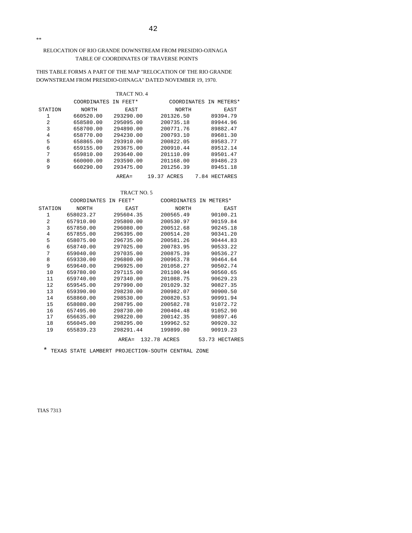## RELOCATION OF RIO GRANDE DOWNSTREAM FROM PRESIDIO-OJINAGA TABLE OF COORDINATES OF TRAVERSE POINTS

## THIS TABLE FORMS A PART OF THE MAP "RELOCATION OF THE RIO GRANDE DOWNSTREAM FROM PRESIDIO-OJINAGA" DATED NOVEMBER 19, 1970.

#### TRACT NO. 4

|         | COORDINATES  | FEET*<br>TN. |                | COORDINATES IN METERS* |
|---------|--------------|--------------|----------------|------------------------|
| STATION | <b>NORTH</b> | EAST         | <b>NORTH</b>   | EAST                   |
| 1       | 660520.00    | 293290.00    | 201326.50      | 89394.79               |
| 2       | 658580.00    | 295095.00    | 200735.18      | 89944.96               |
| 3       | 658700.00    | 294890.00    | 200771.76      | 89882.47               |
| 4       | 658770.00    | 294230.00    | 200793.10      | 89681.30               |
| 5       | 658865.00    | 293910.00    | 200822.05      | 89583.77               |
| 6       | 659155.00    | 293675.00    | 200910.44      | 89512.14               |
| 7       | 659810.00    | 293640.00    | 201110.09      | 89501.47               |
| 8       | 660000.00    | 293590.00    | 201168.00      | 89486.23               |
| 9       | 660290.00    | 293475.00    | 201256.39      | 89451.18               |
|         |              | $AREA=$      | ACRES<br>19.37 | HECTARES<br>7.84       |

## TRACT NO. 5

|         | COORDINATES IN FEET* |           | COORDINATES IN METERS* |                |
|---------|----------------------|-----------|------------------------|----------------|
| STATION | NORTH                | EAST      | NORTH                  | EAST           |
| 1       | 658023.27            | 295604.35 | 200565.49              | 90100.21       |
| 2       | 657910.00            | 295800.00 | 200530.97              | 90159.84       |
| 3       | 657850.00            | 296080.00 | 200512.68              | 90245.18       |
| 4       | 657855.00            | 296395.00 | 200514.20              | 90341.20       |
| 5       | 658075.00            | 296735.00 | 200581.26              | 90444.83       |
| 6       | 658740.00            | 297025.00 | 200783.95              | 90533.22       |
| 7       | 659040.00            | 297035.00 | 200875.39              | 90536.27       |
| 8       | 659330.00            | 296800.00 | 200963.78              | 90464.64       |
| 9       | 659640.00            | 296925.00 | 201058.27              | 90502.74       |
| 10      | 659780.00            | 297115.00 | 201100.94              | 90560.65       |
| 11      | 659740.00            | 297340.00 | 201088.75              | 90629.23       |
| 12      | 659545.00            | 297990.00 | 201029.32              | 90827.35       |
| 13      | 659390.00            | 298230.00 | 200982.07              | 90900.50       |
| 14      | 658860.00            | 298530.00 | 200820.53              | 90991.94       |
| 15      | 658080.00            | 298795.00 | 200582.78              | 91072.72       |
| 16      | 657495.00            | 298730.00 | 200404.48              | 91052.90       |
| 17      | 656635.00            | 298220.00 | 200142.35              | 90897.46       |
| 18      | 656045.00            | 298295.00 | 199962.52              | 90920.32       |
| 19      | 655839.23            | 298291.44 | 199899.80              | 90919.23       |
|         |                      | $AREA =$  | 132.78 ACRES           | 53.73 HECTARES |

\* TEXAS STATE LAMBERT PROJECTION-SOUTH CENTRAL ZONE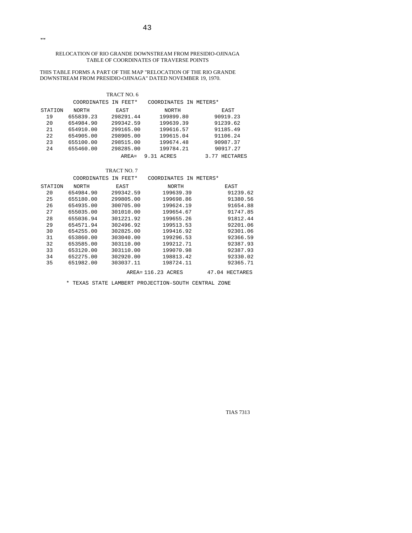#### RELOCATION OF RIO GRANDE DOWNSTREAM FROM PRESIDIO-OJINAGA TABLE OF COORDINATES OF TRAVERSE POINTS

THIS TABLE FORMS A PART OF THE MAP "RELOCATION OF THE RIO GRANDE DOWNSTREAM FROM PRESIDIO-OJINAGA" DATED NOVEMBER 19, 1970.

#### TRACT NO. 6

|         | COORDINATES IN FEET* |           | COORDINATES IN METERS* |                  |
|---------|----------------------|-----------|------------------------|------------------|
| STATION | NORTH                | EAST      | NORTH                  | EAST             |
| 19      | 655839.23            | 298291.44 | 199899.80              | 90919.23         |
| 20      | 654984.90            | 299342.59 | 199639.39              | 91239.62         |
| 21      | 654910.00            | 299165.00 | 199616.57              | 91185.49         |
| 2.2     | 654905.00            | 298905.00 | 199615.04              | 91106.24         |
| 23      | 655100.00            | 298515.00 | 199674.48              | 90987.37         |
| 24      | 655460.00            | 298285.00 | 199784.21              | 90917.27         |
|         |                      | $ARFA =$  | 9.31 ACRES             | HECTARES<br>3.77 |

## TRACT NO. 7

|         | COORDINATES | IN FEET*  | COORDINATES IN     | METERS*           |
|---------|-------------|-----------|--------------------|-------------------|
| STATION | NORTH       | EAST      | <b>NORTH</b>       | EAST              |
| 20      | 654984.90   | 299342.59 | 199639.39          | 91239.62          |
| 25      | 655180.00   | 299805.00 | 199698.86          | 91380.56          |
| 26      | 654935.00   | 300705.00 | 199624.19          | 91654.88          |
| 27      | 655035.00   | 301010.00 | 199654.67          | 91747.85          |
| 28      | 655036.94   | 301221.92 | 199655.26          | 91812.44          |
| 29      | 654571.94   | 302496.92 | 199513.53          | 92201.06          |
| 30      | 654255.00   | 302825.00 | 199416.92          | 92301.06          |
| 31      | 653860.00   | 303040.00 | 199296.53          | 92366.59          |
| 32      | 653585.00   | 303110.00 | 199212.71          | 92387.93          |
| 33      | 653120.00   | 303110.00 | 199070.98          | 92387.93          |
| 34      | 652275.00   | 302920.00 | 198813.42          | 92330.02          |
| 35      | 651982.00   | 303037.11 | 198724.11          | 92365.71          |
|         |             |           | AREA= 116.23 ACRES | 47.04<br>HECTARES |

\* TEXAS STATE LAMBERT PROJECTION-SOUTH CENTRAL ZONE